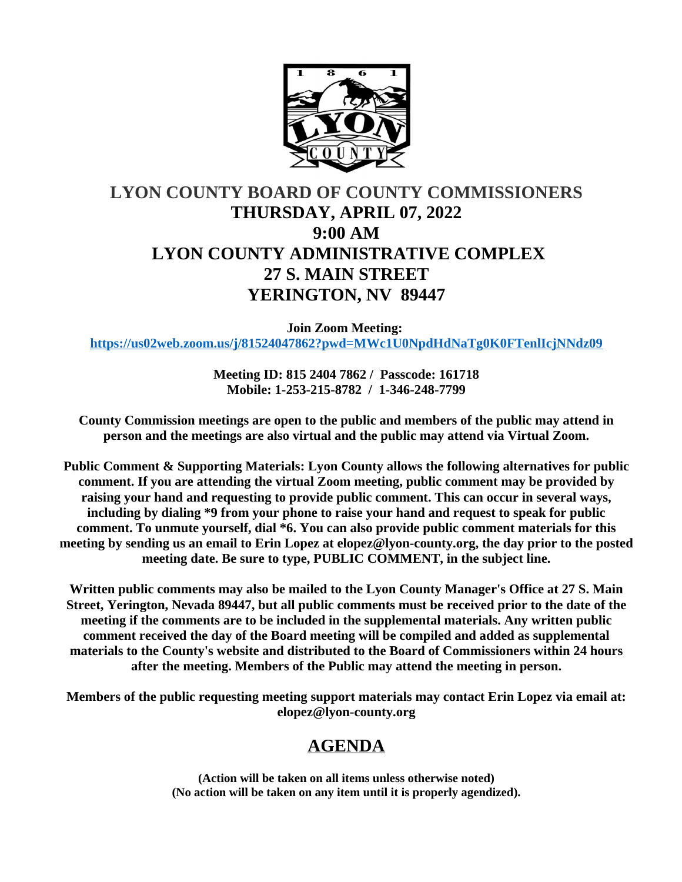

# **LYON COUNTY BOARD OF COUNTY COMMISSIONERS THURSDAY, APRIL 07, 2022 9:00 AM LYON COUNTY ADMINISTRATIVE COMPLEX 27 S. MAIN STREET YERINGTON, NV 89447**

**Join Zoom Meeting: <https://us02web.zoom.us/j/81524047862?pwd=MWc1U0NpdHdNaTg0K0FTenlIcjNNdz09>**

> **Meeting ID: 815 2404 7862 / Passcode: 161718 Mobile: 1-253-215-8782 / 1-346-248-7799**

**County Commission meetings are open to the public and members of the public may attend in person and the meetings are also virtual and the public may attend via Virtual Zoom.**

**Public Comment & Supporting Materials: Lyon County allows the following alternatives for public comment. If you are attending the virtual Zoom meeting, public comment may be provided by raising your hand and requesting to provide public comment. This can occur in several ways, including by dialing \*9 from your phone to raise your hand and request to speak for public comment. To unmute yourself, dial \*6. You can also provide public comment materials for this meeting by sending us an email to Erin Lopez at elopez@lyon-county.org, the day prior to the posted meeting date. Be sure to type, PUBLIC COMMENT, in the subject line.**

**Written public comments may also be mailed to the Lyon County Manager's Office at 27 S. Main Street, Yerington, Nevada 89447, but all public comments must be received prior to the date of the meeting if the comments are to be included in the supplemental materials. Any written public comment received the day of the Board meeting will be compiled and added as supplemental materials to the County's website and distributed to the Board of Commissioners within 24 hours after the meeting. Members of the Public may attend the meeting in person.**

**Members of the public requesting meeting support materials may contact Erin Lopez via email at: elopez@lyon-county.org**

# **AGENDA**

**(Action will be taken on all items unless otherwise noted) (No action will be taken on any item until it is properly agendized).**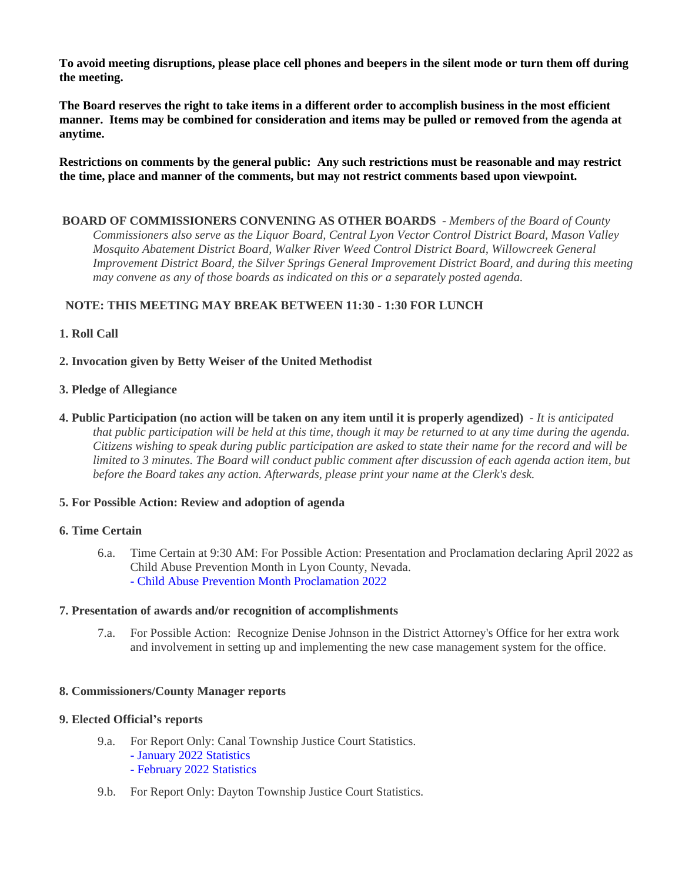**To avoid meeting disruptions, please place cell phones and beepers in the silent mode or turn them off during the meeting.**

**The Board reserves the right to take items in a different order to accomplish business in the most efficient manner. Items may be combined for consideration and items may be pulled or removed from the agenda at anytime.**

**Restrictions on comments by the general public: Any such restrictions must be reasonable and may restrict the time, place and manner of the comments, but may not restrict comments based upon viewpoint.**

 **BOARD OF COMMISSIONERS CONVENING AS OTHER BOARDS** - *Members of the Board of County Commissioners also serve as the Liquor Board, Central Lyon Vector Control District Board, Mason Valley Mosquito Abatement District Board, Walker River Weed Control District Board, Willowcreek General Improvement District Board, the Silver Springs General Improvement District Board, and during this meeting may convene as any of those boards as indicated on this or a separately posted agenda.*

## **NOTE: THIS MEETING MAY BREAK BETWEEN 11:30 - 1:30 FOR LUNCH**

**1. Roll Call**

**2. Invocation given by Betty Weiser of the United Methodist**

#### **3. Pledge of Allegiance**

**4. Public Participation (no action will be taken on any item until it is properly agendized)** - *It is anticipated that public participation will be held at this time, though it may be returned to at any time during the agenda. Citizens wishing to speak during public participation are asked to state their name for the record and will be limited to 3 minutes. The Board will conduct public comment after discussion of each agenda action item, but before the Board takes any action. Afterwards, please print your name at the Clerk's desk.*

### **5. For Possible Action: Review and adoption of agenda**

#### **6. Time Certain**

6.a. Time Certain at 9:30 AM: For Possible Action: Presentation and Proclamation declaring April 2022 as Child Abuse Prevention Month in Lyon County, Nevada. [- Child Abuse Prevention Month Proclamation 2022](https://legistarweb-production.s3.amazonaws.com/uploads/attachment/pdf/1304567/Lyon_County_Proclamation_2022__1_.pdf)

#### **7. Presentation of awards and/or recognition of accomplishments**

7.a. For Possible Action: Recognize Denise Johnson in the District Attorney's Office for her extra work and involvement in setting up and implementing the new case management system for the office.

#### **8. Commissioners/County Manager reports**

### **9. Elected Official's reports**

- 9.a. For Report Only: Canal Township Justice Court Statistics. [- January 2022 Statistics](https://legistarweb-production.s3.amazonaws.com/uploads/attachment/pdf/1287266/January_2022_Statistics.pdf) [- February 2022 Statistics](https://legistarweb-production.s3.amazonaws.com/uploads/attachment/pdf/1290025/February_LCBCC_Stats_Memo__2_.pdf)
- 9.b. For Report Only: Dayton Township Justice Court Statistics.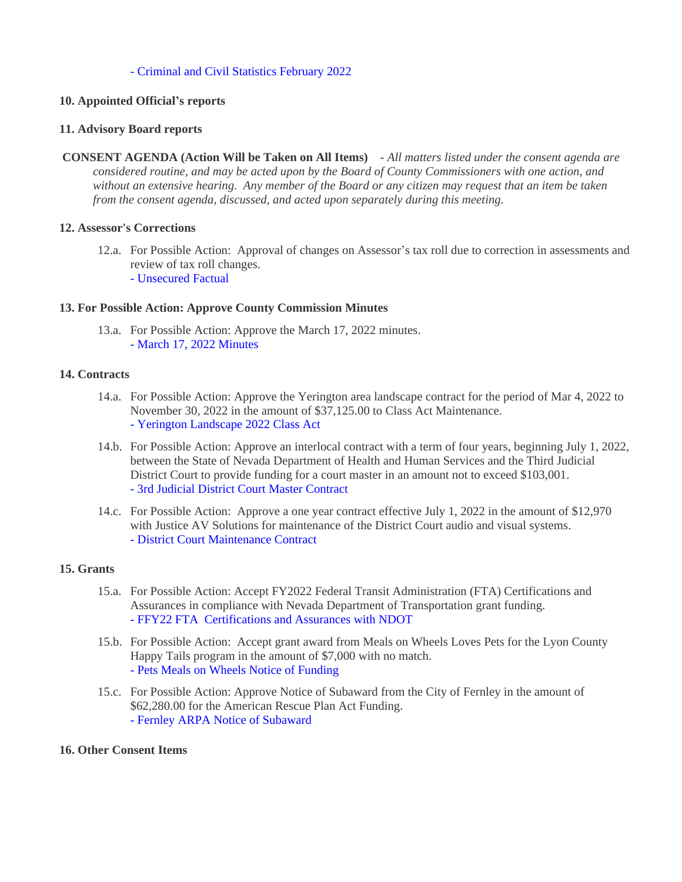#### [- Criminal and Civil Statistics February 2022](https://legistarweb-production.s3.amazonaws.com/uploads/attachment/pdf/1287277/CRIMINAL_AND_CIVIL_STATISTICS.pdf)

#### **10. Appointed Official's reports**

#### **11. Advisory Board reports**

 **CONSENT AGENDA (Action Will be Taken on All Items)** - *All matters listed under the consent agenda are considered routine, and may be acted upon by the Board of County Commissioners with one action, and without an extensive hearing. Any member of the Board or any citizen may request that an item be taken from the consent agenda, discussed, and acted upon separately during this meeting.*

#### **12. Assessor's Corrections**

12.a. For Possible Action: Approval of changes on Assessor's tax roll due to correction in assessments and review of tax roll changes. [- Unsecured Factual](https://legistarweb-production.s3.amazonaws.com/uploads/attachment/pdf/1293246/-Unsecured_Factual_4.7.22.pdf) 

#### **13. For Possible Action: Approve County Commission Minutes**

13.a. For Possible Action: Approve the March 17, 2022 minutes. [- March 17, 2022 Minutes](https://legistarweb-production.s3.amazonaws.com/uploads/attachment/pdf/1298283/03.17.22_final_minutes.pdf)

#### **14. Contracts**

- 14.a. For Possible Action: Approve the Yerington area landscape contract for the period of Mar 4, 2022 to November 30, 2022 in the amount of \$37,125.00 to Class Act Maintenance. [- Yerington Landscape 2022 Class Act](https://legistarweb-production.s3.amazonaws.com/uploads/attachment/pdf/1296079/Yerington_Landscape_2022_Class_Act.pdf)
- 14.b. For Possible Action: Approve an interlocal contract with a term of four years, beginning July 1, 2022, between the State of Nevada Department of Health and Human Services and the Third Judicial District Court to provide funding for a court master in an amount not to exceed \$103,001. [- 3rd Judicial District Court Master Contract](https://legistarweb-production.s3.amazonaws.com/uploads/attachment/pdf/1302487/3rd_Judicial_District_-_Contract_Revised_3.23.22.pdf)
- 14.c. For Possible Action: Approve a one year contract effective July 1, 2022 in the amount of \$12,970 with Justice AV Solutions for maintenance of the District Court audio and visual systems. [- District Court Maintenance Contract](https://legistarweb-production.s3.amazonaws.com/uploads/attachment/pdf/1302505/Classic_NV_Lyon_County_Third_District_7.22_to_6.23.pdf)

### **15. Grants**

- 15.a. For Possible Action: Accept FY2022 Federal Transit Administration (FTA) Certifications and Assurances in compliance with Nevada Department of Transportation grant funding. [- FFY22 FTA Certifications and Assurances with NDOT](https://legistarweb-production.s3.amazonaws.com/uploads/attachment/pdf/1300454/-FFY22_FTA_NDOT_Assurances.pdf)
- 15.b. For Possible Action: Accept grant award from Meals on Wheels Loves Pets for the Lyon County Happy Tails program in the amount of \$7,000 with no match. [- Pets Meals on Wheels Notice of Funding](https://legistarweb-production.s3.amazonaws.com/uploads/attachment/pdf/1300456/-Pets_Meals_on_Wheels_Notice_of_Funding.pdf)
- 15.c. For Possible Action: Approve Notice of Subaward from the City of Fernley in the amount of \$62,280.00 for the American Rescue Plan Act Funding. [- Fernley ARPA Notice of Subaward](https://legistarweb-production.s3.amazonaws.com/uploads/attachment/pdf/1300457/-Fernley_ARPA_Notice_of_Subaward.pdf)

#### **16. Other Consent Items**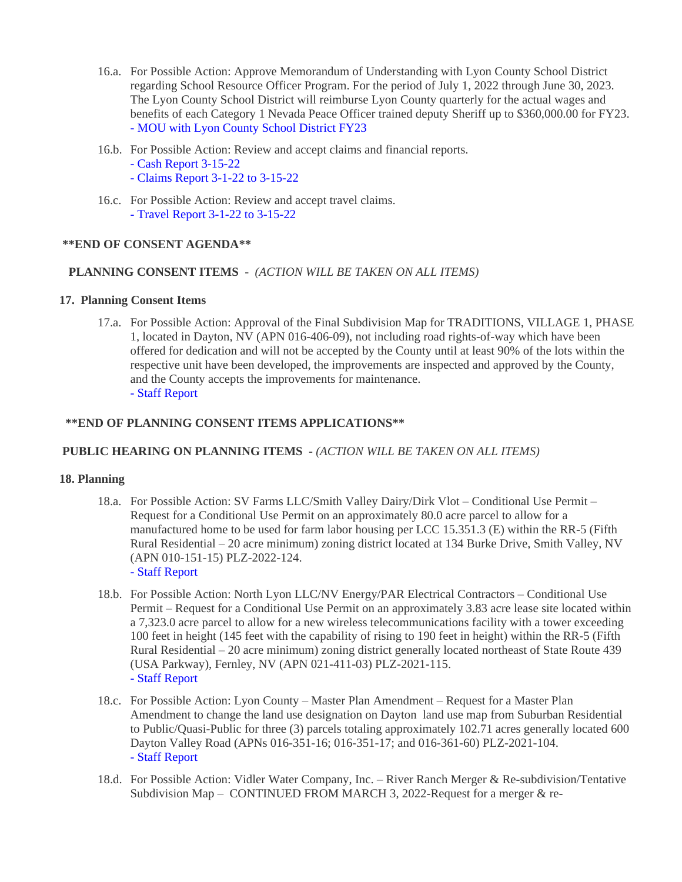- 16.a. For Possible Action: Approve Memorandum of Understanding with Lyon County School District regarding School Resource Officer Program. For the period of July 1, 2022 through June 30, 2023. The Lyon County School District will reimburse Lyon County quarterly for the actual wages and benefits of each Category 1 Nevada Peace Officer trained deputy Sheriff up to \$360,000.00 for FY23. [- MOU with Lyon County School District FY23](https://legistarweb-production.s3.amazonaws.com/uploads/attachment/pdf/1301273/Mou_FY_2023.pdf)
- 16.b. For Possible Action: Review and accept claims and financial reports.
	- [Cash Report 3-15-22](https://legistarweb-production.s3.amazonaws.com/uploads/attachment/pdf/1290897/Cash_Report_3-15-22.pdf)
	- [Claims Report 3-1-22 to 3-15-22](https://legistarweb-production.s3.amazonaws.com/uploads/attachment/pdf/1290898/Claims_Report_3-1-22_to_3-15-22.pdf)
- 16.c. For Possible Action: Review and accept travel claims. [- Travel Report 3-1-22 to 3-15-22](https://legistarweb-production.s3.amazonaws.com/uploads/attachment/pdf/1290902/Travel_Report_3-1-22_to_3-15-22.pdf)

### **\*\*END OF CONSENT AGENDA\*\***

## **PLANNING CONSENT ITEMS** - *(ACTION WILL BE TAKEN ON ALL ITEMS)*

### **17. Planning Consent Items**

17.a. For Possible Action: Approval of the Final Subdivision Map for TRADITIONS, VILLAGE 1, PHASE 1, located in Dayton, NV (APN 016-406-09), not including road rights-of-way which have been offered for dedication and will not be accepted by the County until at least 90% of the lots within the respective unit have been developed, the improvements are inspected and approved by the County, and the County accepts the improvements for maintenance. [- Staff Report](https://legistarweb-production.s3.amazonaws.com/uploads/attachment/pdf/1312858/4.7.2022_BOCC_FINAL_MAP_AGENDA_SUBMITTAL_PACKAGE.pdf)

## **\*\*END OF PLANNING CONSENT ITEMS APPLICATIONS\*\***

### **PUBLIC HEARING ON PLANNING ITEMS** - *(ACTION WILL BE TAKEN ON ALL ITEMS)*

### **18. Planning**

- 18.a. For Possible Action: SV Farms LLC/Smith Valley Dairy/Dirk Vlot Conditional Use Permit Request for a Conditional Use Permit on an approximately 80.0 acre parcel to allow for a manufactured home to be used for farm labor housing per LCC 15.351.3 (E) within the RR-5 (Fifth Rural Residential – 20 acre minimum) zoning district located at 134 Burke Drive, Smith Valley, NV (APN 010-151-15) PLZ-2022-124. [- Staff Report](https://legistarweb-production.s3.amazonaws.com/uploads/attachment/pdf/1312119/Smith_Valley_Dairy_BOCC_04.07.22_Agenda_and_Backup.pdf)
- 18.b. For Possible Action: North Lyon LLC/NV Energy/PAR Electrical Contractors Conditional Use Permit – Request for a Conditional Use Permit on an approximately 3.83 acre lease site located within a 7,323.0 acre parcel to allow for a new wireless telecommunications facility with a tower exceeding 100 feet in height (145 feet with the capability of rising to 190 feet in height) within the RR-5 (Fifth Rural Residential – 20 acre minimum) zoning district generally located northeast of State Route 439 (USA Parkway), Fernley, NV (APN 021-411-03) PLZ-2021-115. [- Staff Report](https://legistarweb-production.s3.amazonaws.com/uploads/attachment/pdf/1284025/NV_Energy_Eagel_WCF_BOC_04.07.2022_Staff_Report_and_Backup.pdf)
- 18.c. For Possible Action: Lyon County Master Plan Amendment Request for a Master Plan Amendment to change the land use designation on Dayton land use map from Suburban Residential to Public/Quasi-Public for three (3) parcels totaling approximately 102.71 acres generally located 600 Dayton Valley Road (APNs 016-351-16; 016-351-17; and 016-361-60) PLZ-2021-104. [- Staff Report](https://legistarweb-production.s3.amazonaws.com/uploads/attachment/pdf/1284057/Lyon_County_Mira_Vida-_Master_Plan_Amendment_BOC_04.08.2022_Staff_and_Staff_Report.pdf)
- 18.d. For Possible Action: Vidler Water Company, Inc. River Ranch Merger & Re-subdivision/Tentative Subdivision Map – CONTINUED FROM MARCH 3, 2022-Request for a merger & re-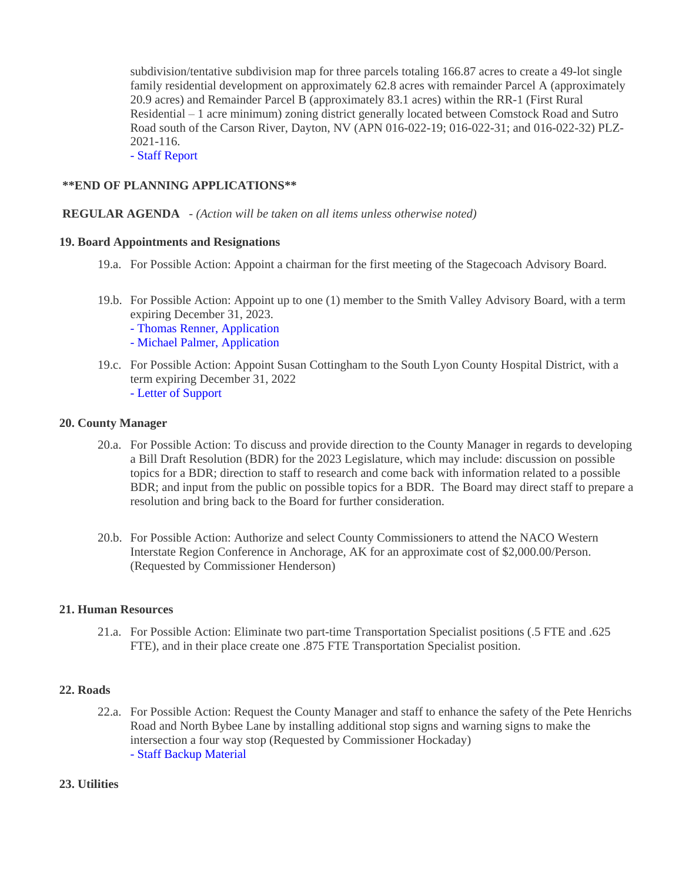subdivision/tentative subdivision map for three parcels totaling 166.87 acres to create a 49-lot single family residential development on approximately 62.8 acres with remainder Parcel A (approximately 20.9 acres) and Remainder Parcel B (approximately 83.1 acres) within the RR-1 (First Rural Residential – 1 acre minimum) zoning district generally located between Comstock Road and Sutro Road south of the Carson River, Dayton, NV (APN 016-022-19; 016-022-31; and 016-022-32) PLZ-2021-116.

[- Staff Report](https://legistarweb-production.s3.amazonaws.com/uploads/attachment/pdf/1312077/River_Ranch_Tentative_SUB_Map_BOCC_04.07.2022__Staff_Report_and_Backup-2_03.31.2022.pdf)

#### **\*\*END OF PLANNING APPLICATIONS\*\***

#### **REGULAR AGENDA** - *(Action will be taken on all items unless otherwise noted)*

#### **19. Board Appointments and Resignations**

- 19.a. For Possible Action: Appoint a chairman for the first meeting of the Stagecoach Advisory Board.
- 19.b. For Possible Action: Appoint up to one (1) member to the Smith Valley Advisory Board, with a term expiring December 31, 2023.
	- [Thomas Renner, Application](https://legistarweb-production.s3.amazonaws.com/uploads/attachment/pdf/1292041/Thomas_Renner__Application.pdf)
	- [Michael Palmer, Application](https://legistarweb-production.s3.amazonaws.com/uploads/attachment/pdf/1292052/Michael_Palmer_Application.pdf)
- 19.c. For Possible Action: Appoint Susan Cottingham to the South Lyon County Hospital District, with a term expiring December 31, 2022 [- Letter of Support](https://legistarweb-production.s3.amazonaws.com/uploads/attachment/pdf/1304619/SLHD_Appt_Susan_Cottingham.pdf)

#### **20. County Manager**

- 20.a. For Possible Action: To discuss and provide direction to the County Manager in regards to developing a Bill Draft Resolution (BDR) for the 2023 Legislature, which may include: discussion on possible topics for a BDR; direction to staff to research and come back with information related to a possible BDR; and input from the public on possible topics for a BDR. The Board may direct staff to prepare a resolution and bring back to the Board for further consideration.
- 20.b. For Possible Action: Authorize and select County Commissioners to attend the NACO Western Interstate Region Conference in Anchorage, AK for an approximate cost of \$2,000.00/Person. (Requested by Commissioner Henderson)

#### **21. Human Resources**

21.a. For Possible Action: Eliminate two part-time Transportation Specialist positions (.5 FTE and .625 FTE), and in their place create one .875 FTE Transportation Specialist position.

#### **22. Roads**

22.a. For Possible Action: Request the County Manager and staff to enhance the safety of the Pete Henrichs Road and North Bybee Lane by installing additional stop signs and warning signs to make the intersection a four way stop (Requested by Commissioner Hockaday) [- Staff Backup Material](https://legistarweb-production.s3.amazonaws.com/uploads/attachment/pdf/1310089/MUTCD_Stop_Sign_Warrents.pdf)

## **23. Utilities**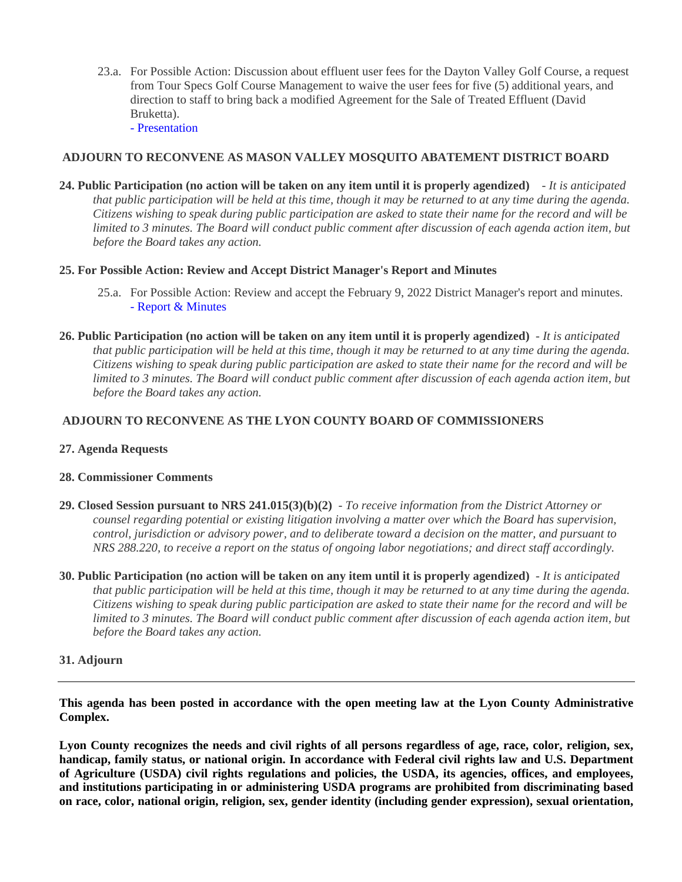23.a. For Possible Action: Discussion about effluent user fees for the Dayton Valley Golf Course, a request from Tour Specs Golf Course Management to waive the user fees for five (5) additional years, and direction to staff to bring back a modified Agreement for the Sale of Treated Effluent (David Bruketta).

[- Presentation](https://legistarweb-production.s3.amazonaws.com/uploads/attachment/pdf/1297229/Effluent_User_Fee_Presentation.pdf)

### **ADJOURN TO RECONVENE AS MASON VALLEY MOSQUITO ABATEMENT DISTRICT BOARD**

**24. Public Participation (no action will be taken on any item until it is properly agendized)** - *It is anticipated that public participation will be held at this time, though it may be returned to at any time during the agenda. Citizens wishing to speak during public participation are asked to state their name for the record and will be limited to 3 minutes. The Board will conduct public comment after discussion of each agenda action item, but before the Board takes any action.*

## **25. For Possible Action: Review and Accept District Manager's Report and Minutes**

- 25.a. For Possible Action: Review and accept the February 9, 2022 District Manager's report and minutes. [- Report & Minutes](https://legistarweb-production.s3.amazonaws.com/uploads/attachment/pdf/1298989/MVMAD_FEB_MIN_and_Report_22_0001.pdf)
- **26. Public Participation (no action will be taken on any item until it is properly agendized)** *It is anticipated that public participation will be held at this time, though it may be returned to at any time during the agenda. Citizens wishing to speak during public participation are asked to state their name for the record and will be limited to 3 minutes. The Board will conduct public comment after discussion of each agenda action item, but before the Board takes any action.*

## **ADJOURN TO RECONVENE AS THE LYON COUNTY BOARD OF COMMISSIONERS**

### **27. Agenda Requests**

### **28. Commissioner Comments**

- **29. Closed Session pursuant to NRS 241.015(3)(b)(2)** *To receive information from the District Attorney or counsel regarding potential or existing litigation involving a matter over which the Board has supervision, control, jurisdiction or advisory power, and to deliberate toward a decision on the matter, and pursuant to NRS 288.220, to receive a report on the status of ongoing labor negotiations; and direct staff accordingly.*
- **30. Public Participation (no action will be taken on any item until it is properly agendized)** *It is anticipated that public participation will be held at this time, though it may be returned to at any time during the agenda. Citizens wishing to speak during public participation are asked to state their name for the record and will be*  limited to 3 minutes. The Board will conduct public comment after discussion of each agenda action item, but *before the Board takes any action.*

### **31. Adjourn**

**This agenda has been posted in accordance with the open meeting law at the Lyon County Administrative Complex.**

Lyon County recognizes the needs and civil rights of all persons regardless of age, race, color, religion, sex, **handicap, family status, or national origin. In accordance with Federal civil rights law and U.S. Department of Agriculture (USDA) civil rights regulations and policies, the USDA, its agencies, offices, and employees, and institutions participating in or administering USDA programs are prohibited from discriminating based on race, color, national origin, religion, sex, gender identity (including gender expression), sexual orientation,**